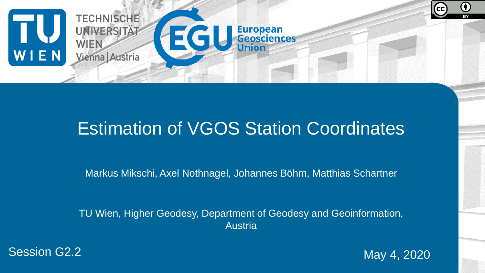

### Estimation of VGOS Station Coordinates

Markus Mikschi, Axel Nothnagel, Johannes Böhm, Matthias Schartner

TU Wien, Higher Geodesy, Department of Geodesy and Geoinformation, **Austria** 



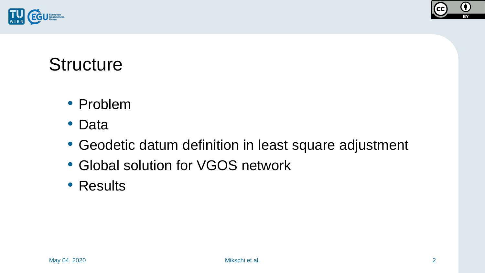



### **Structure**

- Problem
- Data
- Geodetic datum definition in least square adjustment
- Global solution for VGOS network
- Results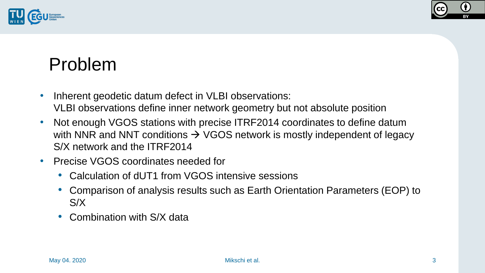



### Problem

- Inherent geodetic datum defect in VLBI observations: VLBI observations define inner network geometry but not absolute position
- Not enough VGOS stations with precise ITRF2014 coordinates to define datum with NNR and NNT conditions  $\rightarrow$  VGOS network is mostly independent of legacy S/X network and the ITRF2014
- Precise VGOS coordinates needed for
	- Calculation of dUT1 from VGOS intensive sessions
	- Comparison of analysis results such as Earth Orientation Parameters (EOP) to S/X
	- Combination with S/X data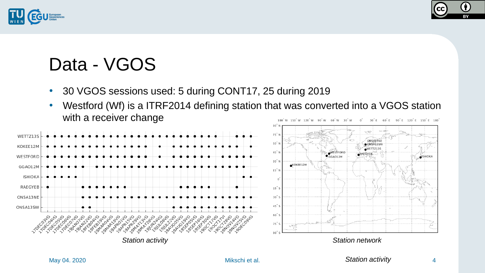



## Data - VGOS

- 30 VGOS sessions used: 5 during CONT17, 25 during 2019
- Westford (Wf) is a ITRF2014 defining station that was converted into a VGOS station with a receiver change 180°W 120°W 90°W 60°W 30°W 0ຶ 30°E 60°E 90°E 120°E 150°E 180°

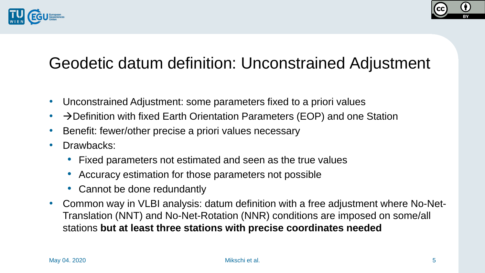



#### Geodetic datum definition: Unconstrained Adjustment

- Unconstrained Adjustment: some parameters fixed to a priori values
- $\rightarrow$  Definition with fixed Earth Orientation Parameters (EOP) and one Station
- Benefit: fewer/other precise a priori values necessary
- Drawbacks:
	- Fixed parameters not estimated and seen as the true values
	- Accuracy estimation for those parameters not possible
	- Cannot be done redundantly
- Common way in VLBI analysis: datum definition with a free adjustment where No-Net-Translation (NNT) and No-Net-Rotation (NNR) conditions are imposed on some/all stations **but at least three stations with precise coordinates needed**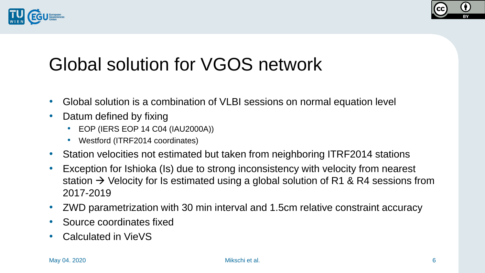



# Global solution for VGOS network

- Global solution is a combination of VLBI sessions on normal equation level
- Datum defined by fixing
	- EOP (IERS EOP 14 C04 (IAU2000A))
	- Westford (ITRF2014 coordinates)
- Station velocities not estimated but taken from neighboring ITRF2014 stations
- Exception for Ishioka (Is) due to strong inconsistency with velocity from nearest station  $\rightarrow$  Velocity for Is estimated using a global solution of R1 & R4 sessions from 2017-2019
- ZWD parametrization with 30 min interval and 1.5cm relative constraint accuracy
- Source coordinates fixed
- Calculated in VieVS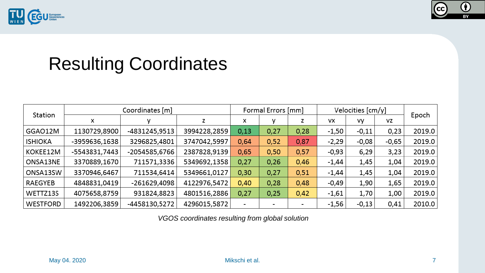



# Resulting Coordinates

| Station         | Coordinates [m] |               |              | Formal Errors [mm] |                |      | Velocities [cm/y] |         |         |        |
|-----------------|-----------------|---------------|--------------|--------------------|----------------|------|-------------------|---------|---------|--------|
|                 | х               | v             | z            | х                  |                | z    | VX                | vy      | VZ      | Epoch  |
| GGAO12M         | 1130729,8900    | -4831245,9513 | 3994228,2859 | 0,13               | 0,27           | 0,28 | $-1,50$           | $-0,11$ | 0,23    | 2019.0 |
| <b>ISHIOKA</b>  | -3959636,1638   | 3296825,4801  | 3747042,5997 | 0,64               | 0,52           | 0,87 | $-2,29$           | $-0,08$ | $-0,65$ | 2019.0 |
| KOKEE12M        | -5543831,7443   | -2054585,6766 | 2387828,9139 | 0,65               | 0,50           | 0,57 | $-0,93$           | 6,29    | 3,23    | 2019.0 |
| ONSA13NE        | 3370889,1670    | 711571,3336   | 5349692,1358 | 0,27               | 0,26           | 0,46 | $-1,44$           | 1,45    | 1,04    | 2019.0 |
| ONSA13SW        | 3370946,6467    | 711534,6414   | 5349661,0127 | 0,30               | 0,27           | 0,51 | $-1,44$           | 1,45    | 1,04    | 2019.0 |
| RAEGYEB         | 4848831,0419    | -261629,4098  | 4122976,5472 | 0,40               | 0,28           | 0,48 | $-0,49$           | 1,90    | 1,65    | 2019.0 |
| WETTZ13S        | 4075658,8759    | 931824,8823   | 4801516,2886 | 0,27               | 0,25           | 0,42 | $-1,61$           | 1,70    | 1,00    | 2019.0 |
| <b>WESTFORD</b> | 1492206,3859    | -4458130,5272 | 4296015,5872 |                    | $\blacksquare$ | -    | $-1,56$           | $-0,13$ | 0,41    | 2010.0 |

*VGOS coordinates resulting from global solution*